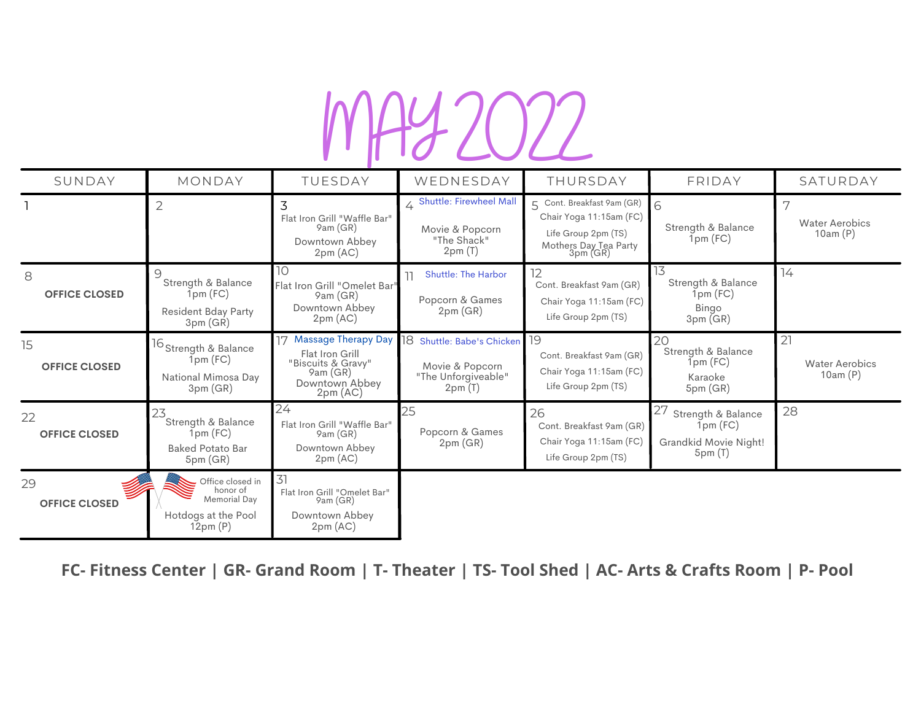# **MAY2022**

| SUNDAY                     | MONDAY                                                                                                  | TUESDAY                                                                                                   | WEDNESDAY                                                                         | THURSDAY                                                                                                             | FRIDAY                                                                       | SATURDAY                               |
|----------------------------|---------------------------------------------------------------------------------------------------------|-----------------------------------------------------------------------------------------------------------|-----------------------------------------------------------------------------------|----------------------------------------------------------------------------------------------------------------------|------------------------------------------------------------------------------|----------------------------------------|
|                            | $\overline{2}$                                                                                          | 3<br>Flat Iron Grill "Waffle Bar"<br>9am(GR)<br>Downtown Abbey<br>2pm (AC)                                | 4 Shuttle: Firewheel Mall<br>Movie & Popcorn<br>"The Shack"<br>2pm(T)             | Cont. Breakfast 9am (GR)<br>5<br>Chair Yoga 11:15am (FC)<br>Life Group 2pm (TS)<br>Mothers Day Tea Party<br>3pm (GR) | 6<br>Strength & Balance<br>$1pm$ (FC)                                        | <b>Water Aerobics</b><br>10am(P)       |
| 8<br><b>OFFICE CLOSED</b>  | 9<br>Strength & Balance<br>$1$ pm $(FC)$<br>Resident Bday Party<br>3pm(GR)                              | 10<br>Flat Iron Grill "Omelet Bar"<br>9am (GR)<br>Downtown Abbey<br>2pm (AC)                              | <b>Shuttle: The Harbor</b><br>Popcorn & Games<br>2pm(GR)                          | 12<br>Cont. Breakfast 9am (GR)<br>Chair Yoga 11:15am (FC)<br>Life Group 2pm (TS)                                     | 13<br>Strength & Balance<br>$1pm$ (FC)<br><b>Bingo</b><br>3pm(GR)            | $\frac{1}{4}$                          |
| 15<br><b>OFFICE CLOSED</b> | 16 Strength & Balance<br>1pm(FC)<br>National Mimosa Day<br>3pm(GR)                                      | 17 Massage Therapy Day<br>Flat Iron Grill<br>"Biscuits & Gravy"<br>9am (GR)<br>Downtown Abbey<br>2pm (AC) | 18<br>Shuttle: Babe's Chicken<br>Movie & Popcorn<br>"The Unforgiveable"<br>2pm(7) | 19<br>Cont. Breakfast 9am (GR)<br>Chair Yoga 11:15am (FC)<br>Life Group 2pm (TS)                                     | 20<br>Strength & Balance<br>$1$ pm $(FC)$<br>Karaoke<br>5pm(GR)              | 21<br><b>Water Aerobics</b><br>10am(P) |
| 22<br><b>OFFICE CLOSED</b> | 23<br>Strength & Balance<br>1pm(FC)<br><b>Baked Potato Bar</b><br>5pm(GR)                               | 24<br>Flat Iron Grill "Waffle Bar"<br>9am (GR)<br>Downtown Abbey<br>2pm (AC)                              | 25<br>Popcorn & Games<br>2pm(GR)                                                  | 26<br>Cont. Breakfast 9am (GR)<br>Chair Yoga 11:15am (FC)<br>Life Group 2pm (TS)                                     | 27<br>Strength & Balance<br>$1$ pm $(FC)$<br>Grandkid Movie Night!<br>5pm(T) | 28                                     |
| 29<br><b>OFFICE CLOSED</b> | $\overline{\phantom{a}}$ Office closed in<br>honor of<br>Memorial Dav<br>Hotdogs at the Pool<br>12pm(P) | 31<br>Flat Iron Grill "Omelet Bar"<br>9am(GR)<br>Downtown Abbey<br>2pm (AC)                               |                                                                                   |                                                                                                                      |                                                                              |                                        |

FC- Fitness Center | GR- Grand Room | T- Theater | TS- Tool Shed | AC- Arts & Crafts Room | P- Pool